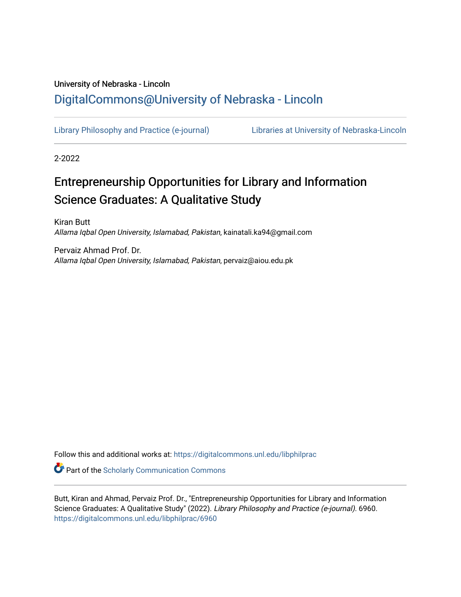# University of Nebraska - Lincoln [DigitalCommons@University of Nebraska - Lincoln](https://digitalcommons.unl.edu/)

[Library Philosophy and Practice \(e-journal\)](https://digitalcommons.unl.edu/libphilprac) [Libraries at University of Nebraska-Lincoln](https://digitalcommons.unl.edu/libraries) 

2-2022

# Entrepreneurship Opportunities for Library and Information Science Graduates: A Qualitative Study

Kiran Butt Allama Iqbal Open University, Islamabad, Pakistan, kainatali.ka94@gmail.com

Pervaiz Ahmad Prof. Dr. Allama Iqbal Open University, Islamabad, Pakistan, pervaiz@aiou.edu.pk

Follow this and additional works at: [https://digitalcommons.unl.edu/libphilprac](https://digitalcommons.unl.edu/libphilprac?utm_source=digitalcommons.unl.edu%2Flibphilprac%2F6960&utm_medium=PDF&utm_campaign=PDFCoverPages) 

**C** Part of the Scholarly Communication Commons

Butt, Kiran and Ahmad, Pervaiz Prof. Dr., "Entrepreneurship Opportunities for Library and Information Science Graduates: A Qualitative Study" (2022). Library Philosophy and Practice (e-journal). 6960. [https://digitalcommons.unl.edu/libphilprac/6960](https://digitalcommons.unl.edu/libphilprac/6960?utm_source=digitalcommons.unl.edu%2Flibphilprac%2F6960&utm_medium=PDF&utm_campaign=PDFCoverPages)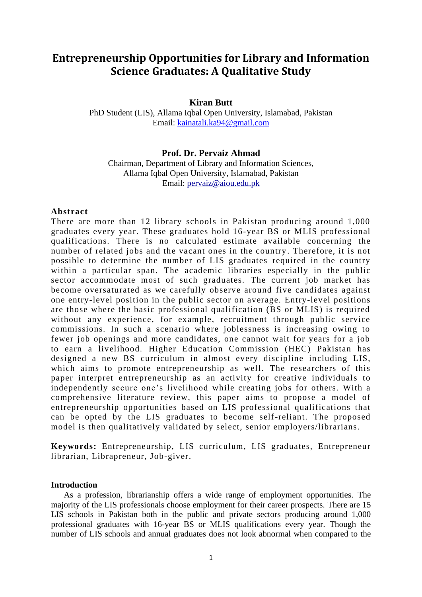# **Entrepreneurship Opportunities for Library and Information Science Graduates: A Qualitative Study**

## **Kiran Butt**

PhD Student (LIS), Allama Iqbal Open University, Islamabad, Pakistan Email: [kainatali.ka94@gmail.com](mailto:kainatali.ka94@gmail.com)

#### **Prof. Dr. Pervaiz Ahmad**

Chairman, Department of Library and Information Sciences, Allama Iqbal Open University, Islamabad, Pakistan Email: [pervaiz@aiou.edu.pk](mailto:pervaiz@aiou.edu.pk)

#### **Abstract**

There are more than 12 library schools in Pakistan producing around 1,000 graduates every year. These graduates hold 16-year BS or MLIS professional qualifications. There is no calculated estimate available concerning the number of related jobs and the vacant ones in the country. Therefore, it is not possible to determine the number of LIS graduates required in the country within a particular span. The academic libraries especially in the public sector accommodate most of such graduates. The current job market has become oversaturated as we carefully observe around five candidates against one entry-level position in the public sector on average. Entry-level positions are those where the basic professional qualification (BS or MLIS) is required without any experience, for example, recruitment through public service commissions. In such a scenario where joblessness is increasing owing to fewer job openings and more candidates, one cannot wait for years for a job to earn a livelihood. Higher Education Commission (HEC) Pakistan has designed a new BS curriculum in almost every discipline including LIS, which aims to promote entrepreneurship as well. The researchers of this paper interpret entrepreneurship as an activity for creative individuals to independently secure one's livelihood while creating jobs for others. With a comprehensive literature review, this paper aims to propose a model of entrepreneurship opportunities based on LIS professional qualifications that can be opted by the LIS graduates to become self-reliant. The proposed model is then qualitatively validated by select, senior employers/librarians.

**Keywords:** Entrepreneurship, LIS curriculum, LIS graduates, Entrepreneur librarian, Librapreneur, Job-giver.

#### **Introduction**

As a profession, librarianship offers a wide range of employment opportunities. The majority of the LIS professionals choose employment for their career prospects. There are 15 LIS schools in Pakistan both in the public and private sectors producing around 1,000 professional graduates with 16-year BS or MLIS qualifications every year. Though the number of LIS schools and annual graduates does not look abnormal when compared to the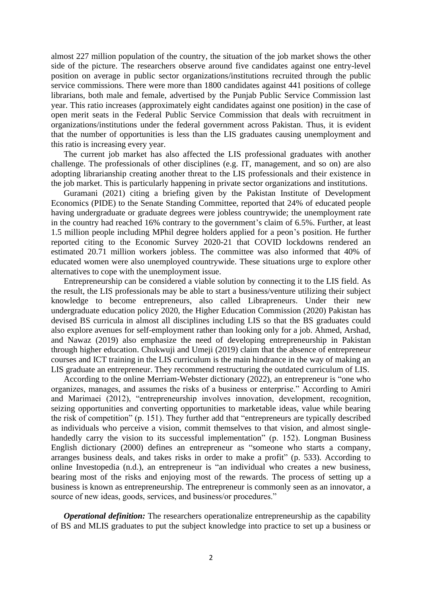almost 227 million population of the country, the situation of the job market shows the other side of the picture. The researchers observe around five candidates against one entry-level position on average in public sector organizations/institutions recruited through the public service commissions. There were more than 1800 candidates against 441 positions of college librarians, both male and female, advertised by the Punjab Public Service Commission last year. This ratio increases (approximately eight candidates against one position) in the case of open merit seats in the Federal Public Service Commission that deals with recruitment in organizations/institutions under the federal government across Pakistan. Thus, it is evident that the number of opportunities is less than the LIS graduates causing unemployment and this ratio is increasing every year.

The current job market has also affected the LIS professional graduates with another challenge. The professionals of other disciplines (e.g. IT, management, and so on) are also adopting librarianship creating another threat to the LIS professionals and their existence in the job market. This is particularly happening in private sector organizations and institutions.

Guramani (2021) citing a briefing given by the Pakistan Institute of Development Economics (PIDE) to the Senate Standing Committee, reported that 24% of educated people having undergraduate or graduate degrees were jobless countrywide; the unemployment rate in the country had reached 16% contrary to the government's claim of 6.5%. Further, at least 1.5 million people including MPhil degree holders applied for a peon's position. He further reported citing to the Economic Survey 2020-21 that COVID lockdowns rendered an estimated 20.71 million workers jobless. The committee was also informed that 40% of educated women were also unemployed countrywide. These situations urge to explore other alternatives to cope with the unemployment issue.

Entrepreneurship can be considered a viable solution by connecting it to the LIS field. As the result, the LIS professionals may be able to start a business/venture utilizing their subject knowledge to become entrepreneurs, also called Librapreneurs. Under their new undergraduate education policy 2020, the Higher Education Commission (2020) Pakistan has devised BS curricula in almost all disciplines including LIS so that the BS graduates could also explore avenues for self-employment rather than looking only for a job. Ahmed, Arshad, and Nawaz (2019) also emphasize the need of developing entrepreneurship in Pakistan through higher education. Chukwuji and Umeji (2019) claim that the absence of entrepreneur courses and ICT training in the LIS curriculum is the main hindrance in the way of making an LIS graduate an entrepreneur. They recommend restructuring the outdated curriculum of LIS.

According to the online Merriam-Webster dictionary (2022), an entrepreneur is "one who organizes, manages, and assumes the risks of a business or enterprise." According to Amiri and Marimaei (2012), "entrepreneurship involves innovation, development, recognition, seizing opportunities and converting opportunities to marketable ideas, value while bearing the risk of competition" (p. 151). They further add that "entrepreneurs are typically described as individuals who perceive a vision, commit themselves to that vision, and almost singlehandedly carry the vision to its successful implementation" (p. 152). Longman Business English dictionary (2000) defines an entrepreneur as "someone who starts a company, arranges business deals, and takes risks in order to make a profit" (p. 533). According to online Investopedia (n.d.), an entrepreneur is "an individual who creates a new business, bearing most of the risks and enjoying most of the rewards. The process of setting up a business is known as entrepreneurship. The entrepreneur is commonly seen as an innovator, a source of new ideas, goods, services, and business/or procedures."

*Operational definition:* The researchers operationalize entrepreneurship as the capability of BS and MLIS graduates to put the subject knowledge into practice to set up a business or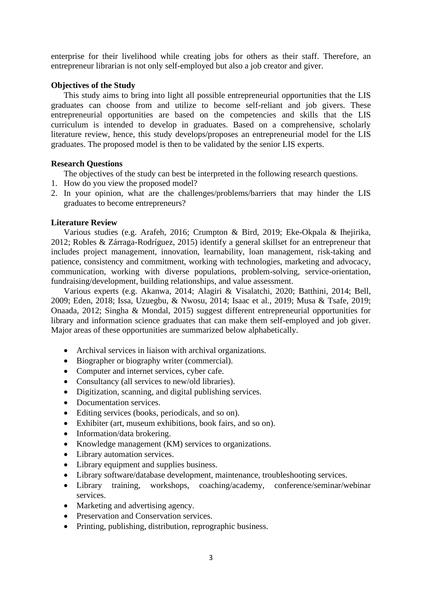enterprise for their livelihood while creating jobs for others as their staff. Therefore, an entrepreneur librarian is not only self-employed but also a job creator and giver.

#### **Objectives of the Study**

This study aims to bring into light all possible entrepreneurial opportunities that the LIS graduates can choose from and utilize to become self-reliant and job givers. These entrepreneurial opportunities are based on the competencies and skills that the LIS curriculum is intended to develop in graduates. Based on a comprehensive, scholarly literature review, hence, this study develops/proposes an entrepreneurial model for the LIS graduates. The proposed model is then to be validated by the senior LIS experts.

#### **Research Questions**

The objectives of the study can best be interpreted in the following research questions.

- 1. How do you view the proposed model?
- 2. In your opinion, what are the challenges/problems/barriers that may hinder the LIS graduates to become entrepreneurs?

## **Literature Review**

Various studies (e.g. Arafeh, 2016; Crumpton & Bird, 2019; Eke-Okpala & Ihejirika, 2012; Robles & Zárraga-Rodríguez, 2015) identify a general skillset for an entrepreneur that includes project management, innovation, learnability, loan management, risk-taking and patience, consistency and commitment, working with technologies, marketing and advocacy, communication, working with diverse populations, problem-solving, service-orientation, fundraising/development, building relationships, and value assessment.

Various experts (e.g. Akanwa, 2014; Alagiri & Visalatchi, 2020; Batthini, 2014; Bell, 2009; Eden, 2018; Issa, Uzuegbu, & Nwosu, 2014; Isaac et al., 2019; Musa & Tsafe, 2019; Onaada, 2012; Singha & Mondal, 2015) suggest different entrepreneurial opportunities for library and information science graduates that can make them self-employed and job giver. Major areas of these opportunities are summarized below alphabetically.

- Archival services in liaison with archival organizations.
- Biographer or biography writer (commercial).
- Computer and internet services, cyber cafe.
- Consultancy (all services to new/old libraries).
- Digitization, scanning, and digital publishing services.
- Documentation services.
- Editing services (books, periodicals, and so on).
- Exhibiter (art, museum exhibitions, book fairs, and so on).
- Information/data brokering.
- Knowledge management (KM) services to organizations.
- Library automation services.
- Library equipment and supplies business.
- Library software/database development, maintenance, troubleshooting services.
- Library training, workshops, coaching/academy, conference/seminar/webinar services.
- Marketing and advertising agency.
- Preservation and Conservation services.
- Printing, publishing, distribution, reprographic business.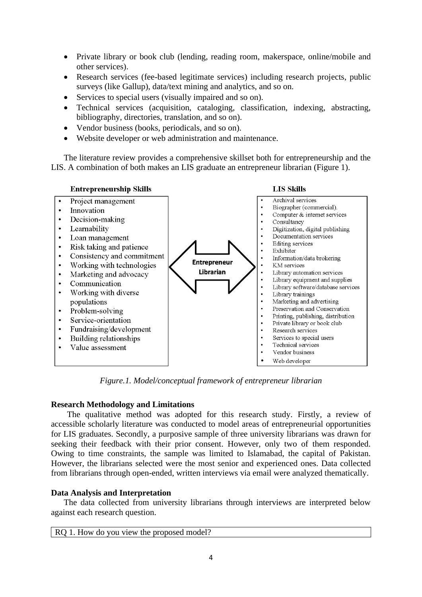- Private library or book club (lending, reading room, makerspace, online/mobile and other services).
- Research services (fee-based legitimate services) including research projects, public surveys (like Gallup), data/text mining and analytics, and so on.
- Services to special users (visually impaired and so on).
- Technical services (acquisition, cataloging, classification, indexing, abstracting, bibliography, directories, translation, and so on).
- Vendor business (books, periodicals, and so on).
- Website developer or web administration and maintenance.

The literature review provides a comprehensive skillset both for entrepreneurship and the LIS. A combination of both makes an LIS graduate an entrepreneur librarian (Figure 1).



*Figure.1. Model/conceptual framework of entrepreneur librarian*

## **Research Methodology and Limitations**

The qualitative method was adopted for this research study. Firstly, a review of accessible scholarly literature was conducted to model areas of entrepreneurial opportunities for LIS graduates. Secondly, a purposive sample of three university librarians was drawn for seeking their feedback with their prior consent. However, only two of them responded. Owing to time constraints, the sample was limited to Islamabad, the capital of Pakistan. However, the librarians selected were the most senior and experienced ones. Data collected from librarians through open-ended, written interviews via email were analyzed thematically.

## **Data Analysis and Interpretation**

The data collected from university librarians through interviews are interpreted below against each research question.

| RQ 1. How do you view the proposed model? |
|-------------------------------------------|
|-------------------------------------------|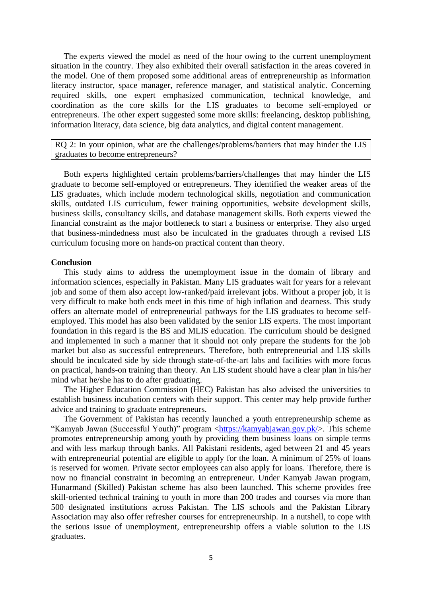The experts viewed the model as need of the hour owing to the current unemployment situation in the country. They also exhibited their overall satisfaction in the areas covered in the model. One of them proposed some additional areas of entrepreneurship as information literacy instructor, space manager, reference manager, and statistical analytic. Concerning required skills, one expert emphasized communication, technical knowledge, and coordination as the core skills for the LIS graduates to become self-employed or entrepreneurs. The other expert suggested some more skills: freelancing, desktop publishing, information literacy, data science, big data analytics, and digital content management.

RO 2: In your opinion, what are the challenges/problems/barriers that may hinder the LIS graduates to become entrepreneurs?

Both experts highlighted certain problems/barriers/challenges that may hinder the LIS graduate to become self-employed or entrepreneurs. They identified the weaker areas of the LIS graduates, which include modern technological skills, negotiation and communication skills, outdated LIS curriculum, fewer training opportunities, website development skills, business skills, consultancy skills, and database management skills. Both experts viewed the financial constraint as the major bottleneck to start a business or enterprise. They also urged that business-mindedness must also be inculcated in the graduates through a revised LIS curriculum focusing more on hands-on practical content than theory.

#### **Conclusion**

This study aims to address the unemployment issue in the domain of library and information sciences, especially in Pakistan. Many LIS graduates wait for years for a relevant job and some of them also accept low-ranked/paid irrelevant jobs. Without a proper job, it is very difficult to make both ends meet in this time of high inflation and dearness. This study offers an alternate model of entrepreneurial pathways for the LIS graduates to become selfemployed. This model has also been validated by the senior LIS experts. The most important foundation in this regard is the BS and MLIS education. The curriculum should be designed and implemented in such a manner that it should not only prepare the students for the job market but also as successful entrepreneurs. Therefore, both entrepreneurial and LIS skills should be inculcated side by side through state-of-the-art labs and facilities with more focus on practical, hands-on training than theory. An LIS student should have a clear plan in his/her mind what he/she has to do after graduating.

The Higher Education Commission (HEC) Pakistan has also advised the universities to establish business incubation centers with their support. This center may help provide further advice and training to graduate entrepreneurs.

The Government of Pakistan has recently launched a youth entrepreneurship scheme as "Kamyab Jawan (Successful Youth)" program [<https://kamyabjawan.gov.pk/>](https://kamyabjawan.gov.pk/). This scheme promotes entrepreneurship among youth by providing them business loans on simple terms and with less markup through banks. All Pakistani residents, aged between 21 and 45 years with entrepreneurial potential are eligible to apply for the loan. A minimum of 25% of loans is reserved for women. Private sector employees can also apply for loans. Therefore, there is now no financial constraint in becoming an entrepreneur. Under Kamyab Jawan program, Hunarmand (Skilled) Pakistan scheme has also been launched. This scheme provides free skill-oriented technical training to youth in more than 200 trades and courses via more than 500 designated institutions across Pakistan. The LIS schools and the Pakistan Library Association may also offer refresher courses for entrepreneurship. In a nutshell, to cope with the serious issue of unemployment, entrepreneurship offers a viable solution to the LIS graduates.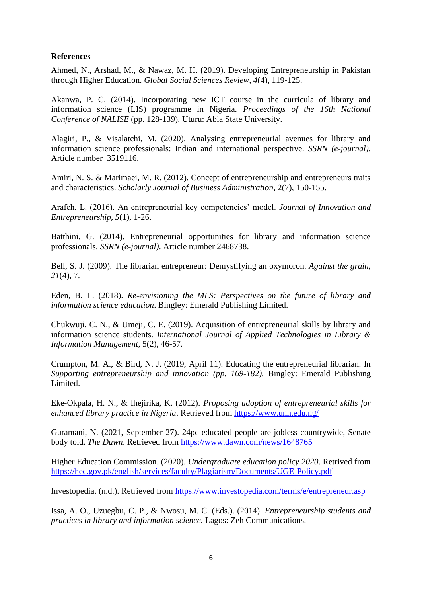## **References**

Ahmed, N., Arshad, M., & Nawaz, M. H. (2019). Developing Entrepreneurship in Pakistan through Higher Education. *Global Social Sciences Review, 4*(4), 119-125.

Akanwa, P. C. (2014). Incorporating new ICT course in the curricula of library and information science (LIS) programme in Nigeria*. Proceedings of the 16th National Conference of NALISE* (pp. 128-139). Uturu: Abia State University.

Alagiri, P., & Visalatchi, M. (2020). Analysing entrepreneurial avenues for library and information science professionals: Indian and international perspective. *SSRN (e-journal).*  Article number 3519116.

Amiri, N. S. & Marimaei, M. R. (2012). Concept of entrepreneurship and entrepreneurs traits and characteristics. *Scholarly Journal of Business Administration*, 2(7), 150-155.

Arafeh, L. (2016). An entrepreneurial key competencies' model. *Journal of Innovation and Entrepreneurship, 5*(1), 1-26.

Batthini, G. (2014). Entrepreneurial opportunities for library and information science professionals. *SSRN (e-journal)*. Article number 2468738.

Bell, S. J. (2009). The librarian entrepreneur: Demystifying an oxymoron. *Against the grain, 21*(4), 7.

Eden, B. L. (2018). *Re-envisioning the MLS: Perspectives on the future of library and information science education*. Bingley: Emerald Publishing Limited.

Chukwuji, C. N., & Umeji, C. E. (2019). Acquisition of entrepreneurial skills by library and information science students. *International Journal of Applied Technologies in Library & Information Management*, 5(2), 46-57.

Crumpton, M. A., & Bird, N. J. (2019, April 11). Educating the entrepreneurial librarian. In *Supporting entrepreneurship and innovation (pp. 169-182).* Bingley: Emerald Publishing Limited.

Eke-Okpala, H. N., & Ihejirika, K. (2012). *Proposing adoption of entrepreneurial skills for enhanced library practice in Nigeria*. Retrieved from <https://www.unn.edu.ng/>

Guramani, N. (2021, September 27). 24pc educated people are jobless countrywide, Senate body told. *The Dawn*. Retrieved from<https://www.dawn.com/news/1648765>

Higher Education Commission. (2020). *Undergraduate education policy 2020*. Retrived from <https://hec.gov.pk/english/services/faculty/Plagiarism/Documents/UGE-Policy.pdf>

Investopedia. (n.d.). Retrieved from<https://www.investopedia.com/terms/e/entrepreneur.asp>

Issa, A. O., Uzuegbu, C. P., & Nwosu, M. C. (Eds.). (2014). *Entrepreneurship students and practices in library and information science.* Lagos: Zeh Communications.